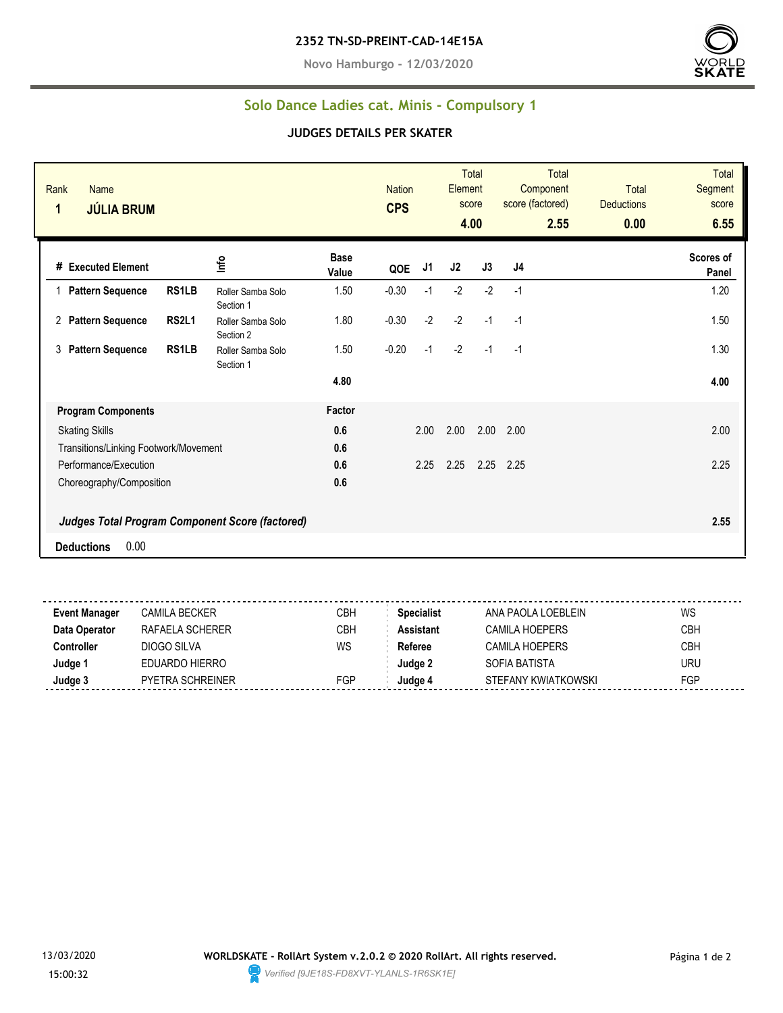**Novo Hamburgo - 12/03/2020**



## **Solo Dance Ladies cat. Minis - Compulsory 1**

## **JUDGES DETAILS PER SKATER**

| Rank<br><b>Name</b><br>1<br><b>JÚLIA BRUM</b> |                                                        |                                |                      | <b>Nation</b><br><b>CPS</b> |      | Element | <b>Total</b><br>score<br>4.00 | <b>Total</b><br>Component<br>score (factored)<br>2.55 | <b>Total</b><br><b>Deductions</b><br>0.00 | <b>Total</b><br>Segment<br>score<br>6.55 |
|-----------------------------------------------|--------------------------------------------------------|--------------------------------|----------------------|-----------------------------|------|---------|-------------------------------|-------------------------------------------------------|-------------------------------------------|------------------------------------------|
| # Executed Element                            |                                                        | lnfo                           | <b>Base</b><br>Value | QOE                         | J1   | J2      | J3                            | J4                                                    |                                           | Scores of<br>Panel                       |
| <b>Pattern Sequence</b>                       | RS1LB                                                  | Roller Samba Solo<br>Section 1 | 1.50                 | $-0.30$                     | $-1$ | $-2$    | $-2$                          | $-1$                                                  |                                           | 1.20                                     |
| 2 Pattern Sequence                            | <b>RS2L1</b>                                           | Roller Samba Solo<br>Section 2 | 1.80                 | $-0.30$                     | $-2$ | $-2$    | $-1$                          | $-1$                                                  |                                           | 1.50                                     |
| <b>Pattern Sequence</b><br>3                  | RS1LB                                                  | Roller Samba Solo<br>Section 1 | 1.50                 | $-0.20$                     | $-1$ | $-2$    | $-1$                          | $-1$                                                  |                                           | 1.30                                     |
|                                               |                                                        |                                | 4.80                 |                             |      |         |                               |                                                       |                                           | 4.00                                     |
| <b>Program Components</b>                     |                                                        |                                | Factor               |                             |      |         |                               |                                                       |                                           |                                          |
| <b>Skating Skills</b>                         |                                                        |                                | 0.6                  |                             | 2.00 | 2.00    | 2.00                          | 2.00                                                  |                                           | 2.00                                     |
| Transitions/Linking Footwork/Movement         |                                                        |                                | 0.6                  |                             |      |         |                               |                                                       |                                           |                                          |
| Performance/Execution                         |                                                        |                                | 0.6                  |                             | 2.25 | 2.25    | 2.25                          | 2.25                                                  |                                           | 2.25                                     |
| Choreography/Composition                      |                                                        |                                | 0.6                  |                             |      |         |                               |                                                       |                                           |                                          |
|                                               | <b>Judges Total Program Component Score (factored)</b> |                                |                      |                             |      |         |                               |                                                       |                                           | 2.55                                     |
| 0.00<br><b>Deductions</b>                     |                                                        |                                |                      |                             |      |         |                               |                                                       |                                           |                                          |

| Event Manager | CAMILA BECKER           | CBH | <b>Specialist</b> | ANA PAOLA LOEBLEIN    | WS         |
|---------------|-------------------------|-----|-------------------|-----------------------|------------|
| Data Operator | RAFAELA SCHERER         | CBH | <b>Assistant</b>  | <b>CAMILA HOEPERS</b> | <b>CBH</b> |
| Controller    | DIOGO SILVA             | WS  | Referee           | <b>CAMILA HOEPERS</b> | <b>CBH</b> |
| Judge 1       | EDUARDO HIERRO          |     | Judge 2           | SOFIA BATISTA         | uru        |
| Judge 3       | <b>PYETRA SCHREINER</b> | FGP | Judge 4           | STEFANY KWIATKOWSKI   | <b>FGP</b> |
|               |                         |     |                   |                       |            |